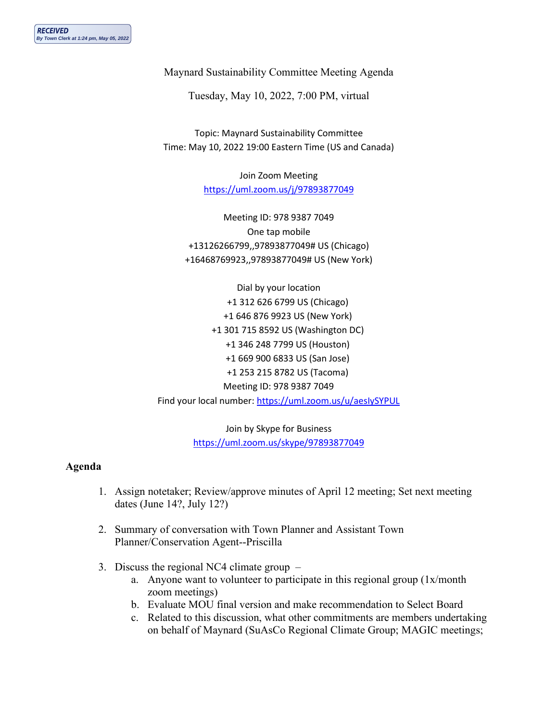Maynard Sustainability Committee Meeting Agenda

Tuesday, May 10, 2022, 7:00 PM, virtual

Topic: Maynard Sustainability Committee Time: May 10, 2022 19:00 Eastern Time (US and Canada)

> Join Zoom Meeting <https://uml.zoom.us/j/97893877049>

Meeting ID: 978 9387 7049 One tap mobile +13126266799,,97893877049# US (Chicago) +16468769923,,97893877049# US (New York)

Dial by your location +1 312 626 6799 US (Chicago) +1 646 876 9923 US (New York) +1 301 715 8592 US (Washington DC) +1 346 248 7799 US (Houston) +1 669 900 6833 US (San Jose) +1 253 215 8782 US (Tacoma) Meeting ID: 978 9387 7049 Find your local number:<https://uml.zoom.us/u/aesIySYPUL>

> Join by Skype for Business <https://uml.zoom.us/skype/97893877049>

## **Agenda**

- 1. Assign notetaker; Review/approve minutes of April 12 meeting; Set next meeting dates (June 14?, July 12?)
- 2. Summary of conversation with Town Planner and Assistant Town Planner/Conservation Agent--Priscilla
- 3. Discuss the regional NC4 climate group
	- a. Anyone want to volunteer to participate in this regional group (1x/month zoom meetings)
	- b. Evaluate MOU final version and make recommendation to Select Board
	- c. Related to this discussion, what other commitments are members undertaking on behalf of Maynard (SuAsCo Regional Climate Group; MAGIC meetings;